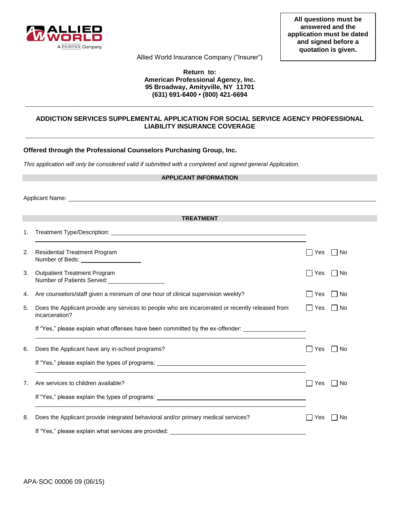

Allied World Insurance Company ("Insurer")

## **Return to: American Professional Agency, Inc. 95 Broadway, Amityville, NY 11701 (631) 691-6400 • (800) 421-6694**

# **ADDICTION SERVICES SUPPLEMENTAL APPLICATION FOR SOCIAL SERVICE AGENCY PROFESSIONAL LIABILITY INSURANCE COVERAGE \_\_\_\_\_\_\_\_\_\_\_\_\_\_\_\_\_\_\_\_\_\_\_\_\_\_\_\_\_\_\_\_\_\_\_\_\_\_\_\_\_\_\_\_\_\_\_\_\_\_\_\_\_\_\_\_\_\_\_\_\_\_\_\_\_\_\_\_\_\_\_\_\_\_\_\_\_\_\_\_**

**\_\_\_\_\_\_\_\_\_\_\_\_\_\_\_\_\_\_\_\_\_\_\_\_\_\_\_\_\_\_\_\_\_\_\_\_\_\_\_\_\_\_\_\_\_\_\_\_\_\_\_\_\_\_\_\_\_\_\_\_\_\_\_\_\_\_\_\_\_\_\_\_\_\_\_\_\_\_\_\_** 

### **Offered through the Professional Counselors Purchasing Group, Inc.**

*This application will only be considered valid if submitted with a completed and signed general Application.* 

| <b>APPLICANT INFORMATION</b> |                                                                                                                    |                                    |  |
|------------------------------|--------------------------------------------------------------------------------------------------------------------|------------------------------------|--|
|                              |                                                                                                                    |                                    |  |
|                              |                                                                                                                    |                                    |  |
|                              | <b>TREATMENT</b>                                                                                                   |                                    |  |
| 1.                           |                                                                                                                    |                                    |  |
| 2.                           | <b>Residential Treatment Program</b>                                                                               | $\Box$ No<br>Yes                   |  |
| 3.                           | <b>Outpatient Treatment Program</b><br>Number of Patients Served:                                                  | $\Box$ No<br>$\Box$ Yes            |  |
| 4.                           | Are counselors/staff given a minimum of one hour of clinical supervision weekly?                                   | No<br>Yes                          |  |
| 5.                           | Does the Applicant provide any services to people who are incarcerated or recently released from<br>incarceration? | No<br>$\Box$<br>  Yes              |  |
|                              | If "Yes," please explain what offenses have been committed by the ex-offender:                                     |                                    |  |
| 6.                           | Does the Applicant have any in-school programs?                                                                    | <b>No</b><br>$\blacksquare$<br>Yes |  |
|                              |                                                                                                                    |                                    |  |
| 7.                           | Are services to children available?                                                                                | l INo<br>Yes                       |  |
|                              |                                                                                                                    |                                    |  |
| 8.                           | Does the Applicant provide integrated behavioral and/or primary medical services?                                  | No<br>Yes                          |  |
|                              | If "Yes," please explain what services are provided: ___________________________                                   |                                    |  |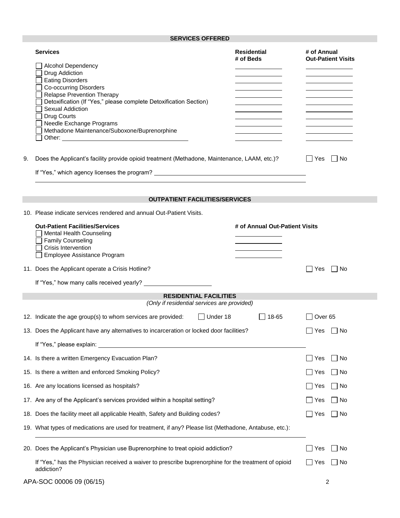# **SERVICES OFFERED**

|    | <b>Services</b><br><b>Alcohol Dependency</b><br>Drug Addiction<br><b>Eating Disorders</b><br><b>Co-occurring Disorders</b><br><b>Relapse Prevention Therapy</b><br>Detoxification (If "Yes," please complete Detoxification Section)<br><b>Sexual Addiction</b><br>Drug Courts<br>Needle Exchange Programs<br>Methadone Maintenance/Suboxone/Buprenorphine<br>Other: <u>with the contract of the contract of the contract of the contract of the contract of the contract of the contract of the contract of the contract of the contract of the contract of the contract of the contract of t</u> | <b>Residential</b><br># of Beds | # of Annual<br><b>Out-Patient Visits</b> |  |
|----|----------------------------------------------------------------------------------------------------------------------------------------------------------------------------------------------------------------------------------------------------------------------------------------------------------------------------------------------------------------------------------------------------------------------------------------------------------------------------------------------------------------------------------------------------------------------------------------------------|---------------------------------|------------------------------------------|--|
| 9. | Does the Applicant's facility provide opioid treatment (Methadone, Maintenance, LAAM, etc.)?                                                                                                                                                                                                                                                                                                                                                                                                                                                                                                       |                                 | No<br>Yes                                |  |
|    | If "Yes," which agency licenses the program? ___________________________________                                                                                                                                                                                                                                                                                                                                                                                                                                                                                                                   |                                 |                                          |  |
|    | <b>OUTPATIENT FACILITIES/SERVICES</b>                                                                                                                                                                                                                                                                                                                                                                                                                                                                                                                                                              |                                 |                                          |  |
|    | 10. Please indicate services rendered and annual Out-Patient Visits.                                                                                                                                                                                                                                                                                                                                                                                                                                                                                                                               |                                 |                                          |  |
|    | <b>Out-Patient Facilities/Services</b><br>Mental Health Counseling<br><b>Family Counseling</b><br><b>Crisis Intervention</b><br>Employee Assistance Program                                                                                                                                                                                                                                                                                                                                                                                                                                        | # of Annual Out-Patient Visits  |                                          |  |
|    | 11. Does the Applicant operate a Crisis Hotline?                                                                                                                                                                                                                                                                                                                                                                                                                                                                                                                                                   |                                 | Yes<br>l I No<br>$\blacksquare$          |  |
|    |                                                                                                                                                                                                                                                                                                                                                                                                                                                                                                                                                                                                    |                                 |                                          |  |
|    | <b>RESIDENTIAL FACILITIES</b><br>(Only if residential services are provided)                                                                                                                                                                                                                                                                                                                                                                                                                                                                                                                       |                                 |                                          |  |
|    | $\Box$ Under 18<br>12. Indicate the age group(s) to whom services are provided:                                                                                                                                                                                                                                                                                                                                                                                                                                                                                                                    | $ $ 18-65                       | │ │Over 65                               |  |
|    | 13. Does the Applicant have any alternatives to incarceration or locked door facilities?                                                                                                                                                                                                                                                                                                                                                                                                                                                                                                           |                                 | Yes<br>l INo                             |  |
|    | If "Yes," please explain:                                                                                                                                                                                                                                                                                                                                                                                                                                                                                                                                                                          |                                 |                                          |  |
|    | 14. Is there a written Emergency Evacuation Plan?                                                                                                                                                                                                                                                                                                                                                                                                                                                                                                                                                  |                                 | Yes<br>l No                              |  |
|    | 15. Is there a written and enforced Smoking Policy?                                                                                                                                                                                                                                                                                                                                                                                                                                                                                                                                                |                                 | l INo<br>∐ Yes                           |  |
|    | 16. Are any locations licensed as hospitals?                                                                                                                                                                                                                                                                                                                                                                                                                                                                                                                                                       |                                 | No<br>Yes                                |  |
|    | 17. Are any of the Applicant's services provided within a hospital setting?                                                                                                                                                                                                                                                                                                                                                                                                                                                                                                                        |                                 | $\Box$ No<br>∣ Yes                       |  |
|    | 18. Does the facility meet all applicable Health, Safety and Building codes?                                                                                                                                                                                                                                                                                                                                                                                                                                                                                                                       |                                 | Yes<br>  No                              |  |
|    | 19. What types of medications are used for treatment, if any? Please list (Methadone, Antabuse, etc.):                                                                                                                                                                                                                                                                                                                                                                                                                                                                                             |                                 |                                          |  |
|    | 20. Does the Applicant's Physician use Buprenorphine to treat opioid addiction?                                                                                                                                                                                                                                                                                                                                                                                                                                                                                                                    |                                 | Yes<br>∣No                               |  |
|    | If "Yes," has the Physician received a waiver to prescribe buprenorphine for the treatment of opioid<br>addiction?                                                                                                                                                                                                                                                                                                                                                                                                                                                                                 |                                 | ∣ Yes<br>  No                            |  |
|    | APA-SOC 00006 09 (06/15)                                                                                                                                                                                                                                                                                                                                                                                                                                                                                                                                                                           |                                 | 2                                        |  |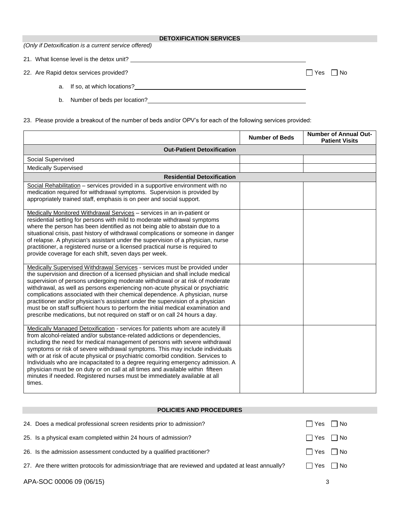#### **DETOXIFICATION SERVICES**

*(Only if Detoxification is a current service offered)*

21. What license level is the detox unit?

22. Are Rapid detox services provided?  $\Box$  Yes  $\Box$  No

- a. If so, at which locations?
- b. Number of beds per location?
- 23. Please provide a breakout of the number of beds and/or OPV's for each of the following services provided:

|                                                                                                                                                                                                                                                                                                                                                                                                                                                                                                                                                                                                                                                                          | <b>Number of Beds</b> | <b>Number of Annual Out-</b><br><b>Patient Visits</b> |  |  |
|--------------------------------------------------------------------------------------------------------------------------------------------------------------------------------------------------------------------------------------------------------------------------------------------------------------------------------------------------------------------------------------------------------------------------------------------------------------------------------------------------------------------------------------------------------------------------------------------------------------------------------------------------------------------------|-----------------------|-------------------------------------------------------|--|--|
| <b>Out-Patient Detoxification</b>                                                                                                                                                                                                                                                                                                                                                                                                                                                                                                                                                                                                                                        |                       |                                                       |  |  |
| Social Supervised                                                                                                                                                                                                                                                                                                                                                                                                                                                                                                                                                                                                                                                        |                       |                                                       |  |  |
| <b>Medically Supervised</b>                                                                                                                                                                                                                                                                                                                                                                                                                                                                                                                                                                                                                                              |                       |                                                       |  |  |
| <b>Residential Detoxification</b>                                                                                                                                                                                                                                                                                                                                                                                                                                                                                                                                                                                                                                        |                       |                                                       |  |  |
| Social Rehabilitation - services provided in a supportive environment with no<br>medication required for withdrawal symptoms. Supervision is provided by<br>appropriately trained staff, emphasis is on peer and social support.                                                                                                                                                                                                                                                                                                                                                                                                                                         |                       |                                                       |  |  |
| Medically Monitored Withdrawal Services - services in an in-patient or<br>residential setting for persons with mild to moderate withdrawal symptoms<br>where the person has been identified as not being able to abstain due to a<br>situational crisis, past history of withdrawal complications or someone in danger<br>of relapse. A physician's assistant under the supervision of a physician, nurse<br>practitioner, a registered nurse or a licensed practical nurse is required to<br>provide coverage for each shift, seven days per week.                                                                                                                      |                       |                                                       |  |  |
| Medically Supervised Withdrawal Services - services must be provided under<br>the supervision and direction of a licensed physician and shall include medical<br>supervision of persons undergoing moderate withdrawal or at risk of moderate<br>withdrawal, as well as persons experiencing non-acute physical or psychiatric<br>complications associated with their chemical dependence. A physician, nurse<br>practitioner and/or physician's assistant under the supervision of a physician<br>must be on staff sufficient hours to perform the initial medical examination and<br>prescribe medications, but not required on staff or on call 24 hours a day.       |                       |                                                       |  |  |
| Medically Managed Detoxification - services for patients whom are acutely ill<br>from alcohol-related and/or substance-related addictions or dependencies,<br>including the need for medical management of persons with severe withdrawal<br>symptoms or risk of severe withdrawal symptoms. This may include individuals<br>with or at risk of acute physical or psychiatric comorbid condition. Services to<br>Individuals who are incapacitated to a degree requiring emergency admission. A<br>physician must be on duty or on call at all times and available within fifteen<br>minutes if needed. Registered nurses must be immediately available at all<br>times. |                       |                                                       |  |  |

## **POLICIES AND PROCEDURES**

| 24. Does a medical professional screen residents prior to admission?                                  | Yes No               |  |
|-------------------------------------------------------------------------------------------------------|----------------------|--|
| 25. Is a physical exam completed within 24 hours of admission?                                        | $\Box$ Yes $\Box$ No |  |
| 26. Is the admission assessment conducted by a qualified practitioner?                                | $\Box$ Yes $\Box$ No |  |
| 27. Are there written protocols for admission/triage that are reviewed and updated at least annually? | $\Box$ Yes $\Box$ No |  |

APA-SOC 00006 09 (06/15) 3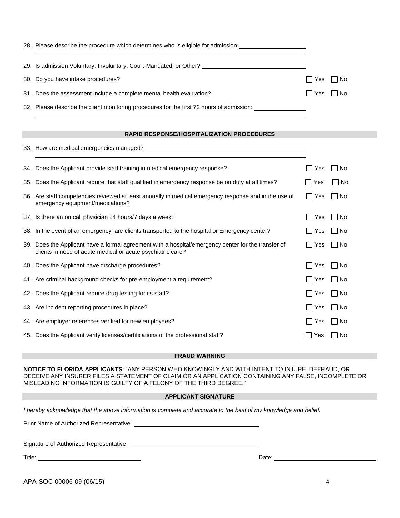| 28. Please describe the procedure which determines who is eligible for admission:         |                      |  |
|-------------------------------------------------------------------------------------------|----------------------|--|
| 29. Is admission Voluntary, Involuntary, Court-Mandated, or Other?                        |                      |  |
| 30. Do you have intake procedures?                                                        | Yes   No             |  |
| 31. Does the assessment include a complete mental health evaluation?                      | $\Box$ Yes $\Box$ No |  |
| 32. Please describe the client monitoring procedures for the first 72 hours of admission: |                      |  |

## **RAPID RESPONSE/HOSPITALIZATION PROCEDURES**

| 34. Does the Applicant provide staff training in medical emergency response?                                                                                       | Yes                          | – I No |
|--------------------------------------------------------------------------------------------------------------------------------------------------------------------|------------------------------|--------|
| 35. Does the Applicant require that staff qualified in emergency response be on duty at all times?                                                                 | Yes                          | □ No   |
| 36. Are staff competencies reviewed at least annually in medical emergency response and in the use of<br>emergency equipment/medications?                          | <b>Yes</b><br>$\blacksquare$ | – I No |
| 37. Is there an on call physician 24 hours/7 days a week?                                                                                                          | Yes<br>$\blacksquare$        | ∣ ∣No  |
| 38. In the event of an emergency, are clients transported to the hospital or Emergency center?                                                                     | l Yes                        | No     |
| 39. Does the Applicant have a formal agreement with a hospital/emergency center for the transfer of<br>clients in need of acute medical or acute psychiatric care? | Yes                          | l I No |
| 40. Does the Applicant have discharge procedures?                                                                                                                  | Yes<br>$\blacksquare$        | ∣ ∣No  |
| 41. Are criminal background checks for pre-employment a requirement?                                                                                               | Yes<br>$\Box$                | l I No |
| 42. Does the Applicant require drug testing for its staff?                                                                                                         | <b>Yes</b><br>$\Box$         | – I No |
| 43. Are incident reporting procedures in place?                                                                                                                    | Yes<br>$\blacksquare$        | l INo  |
| 44. Are employer references verified for new employees?                                                                                                            | Yes<br>$\Box$                | l INo  |
| 45. Does the Applicant verify licenses/certifications of the professional staff?                                                                                   | Yes                          | – I No |

### **FRAUD WARNING**

**NOTICE TO FLORIDA APPLICANTS**: "ANY PERSON WHO KNOWINGLY AND WITH INTENT TO INJURE, DEFRAUD, OR DECEIVE ANY INSURER FILES A STATEMENT OF CLAIM OR AN APPLICATION CONTAINING ANY FALSE, INCOMPLETE OR MISLEADING INFORMATION IS GUILTY OF A FELONY OF THE THIRD DEGREE."

## **APPLICANT SIGNATURE**

*I hereby acknowledge that the above information is complete and accurate to the best of my knowledge and belief.* 

Print Name of Authorized Representative:

Signature of Authorized Representative: Manual Authorized Bernstein and Authorized Bernstein and Authorized Be

Title: <u>Date: Date: Date: Date: Date: Date: Date: Date: Date: Date: Date: Date: Date: Date: Date: Date: Date: Date: Date: Date: Date: Date: Date: Date: Date: Date: Date: Date: Date: Date: Date: Date: Date: Date: Date: Date</u>

APA-SOC 00006 09 (06/15) 4